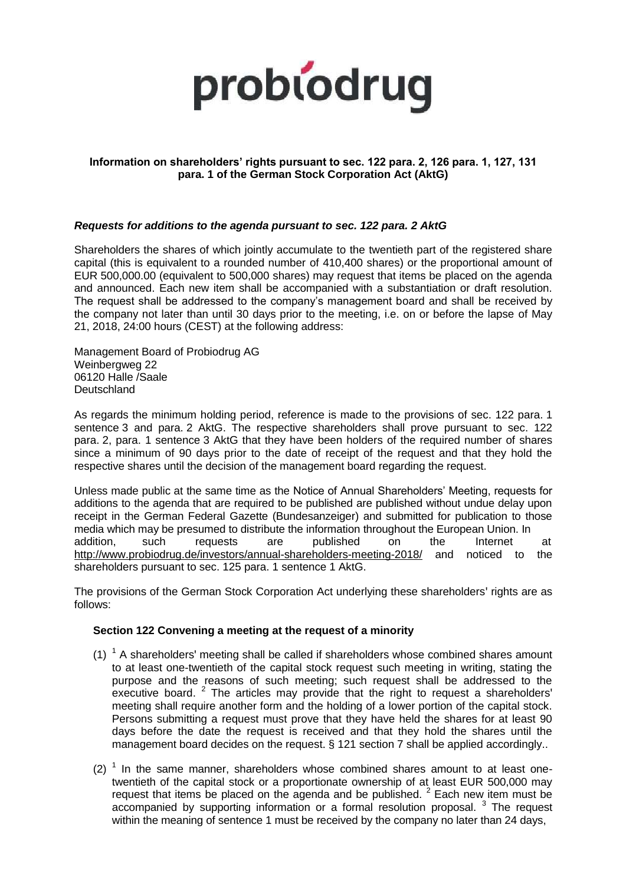

## **Information on shareholders' rights pursuant to sec. 122 para. 2, 126 para. 1, 127, 131 para. 1 of the German Stock Corporation Act (AktG)**

#### *Requests for additions to the agenda pursuant to sec. 122 para. 2 AktG*

Shareholders the shares of which jointly accumulate to the twentieth part of the registered share capital (this is equivalent to a rounded number of 410,400 shares) or the proportional amount of EUR 500,000.00 (equivalent to 500,000 shares) may request that items be placed on the agenda and announced. Each new item shall be accompanied with a substantiation or draft resolution. The request shall be addressed to the company's management board and shall be received by the company not later than until 30 days prior to the meeting, i.e. on or before the lapse of May 21, 2018, 24:00 hours (CEST) at the following address:

Management Board of Probiodrug AG Weinbergweg 22 06120 Halle /Saale **Deutschland** 

As regards the minimum holding period, reference is made to the provisions of sec. 122 para. 1 sentence 3 and para. 2 AktG. The respective shareholders shall prove pursuant to sec. 122 para. 2, para. 1 sentence 3 AktG that they have been holders of the required number of shares since a minimum of 90 days prior to the date of receipt of the request and that they hold the respective shares until the decision of the management board regarding the request.

Unless made public at the same time as the Notice of Annual Shareholders' Meeting, requests for additions to the agenda that are required to be published are published without undue delay upon receipt in the German Federal Gazette (Bundesanzeiger) and submitted for publication to those media which may be presumed to distribute the information throughout the European Union. In addition, such requests are published on the Internet at http://www.probiodrug.de/investors/annual-shareholders-meeting-2018/ and noticed to the shareholders pursuant to sec. 125 para. 1 sentence 1 AktG.

The provisions of the German Stock Corporation Act underlying these shareholders' rights are as follows:

#### **Section 122 Convening a meeting at the request of a minority**

- $(1)$ <sup>1</sup> A shareholders' meeting shall be called if shareholders whose combined shares amount to at least one-twentieth of the capital stock request such meeting in writing, stating the purpose and the reasons of such meeting; such request shall be addressed to the executive board. <sup>2</sup> The articles may provide that the right to request a shareholders' meeting shall require another form and the holding of a lower portion of the capital stock. Persons submitting a request must prove that they have held the shares for at least 90 days before the date the request is received and that they hold the shares until the management board decides on the request. § 121 section 7 shall be applied accordingly..
- (2)  $<sup>1</sup>$  In the same manner, shareholders whose combined shares amount to at least one-</sup> twentieth of the capital stock or a proportionate ownership of at least EUR 500,000 may request that items be placed on the agenda and be published.  $2$  Each new item must be accompanied by supporting information or a formal resolution proposal.  $3$  The request within the meaning of sentence 1 must be received by the company no later than 24 days,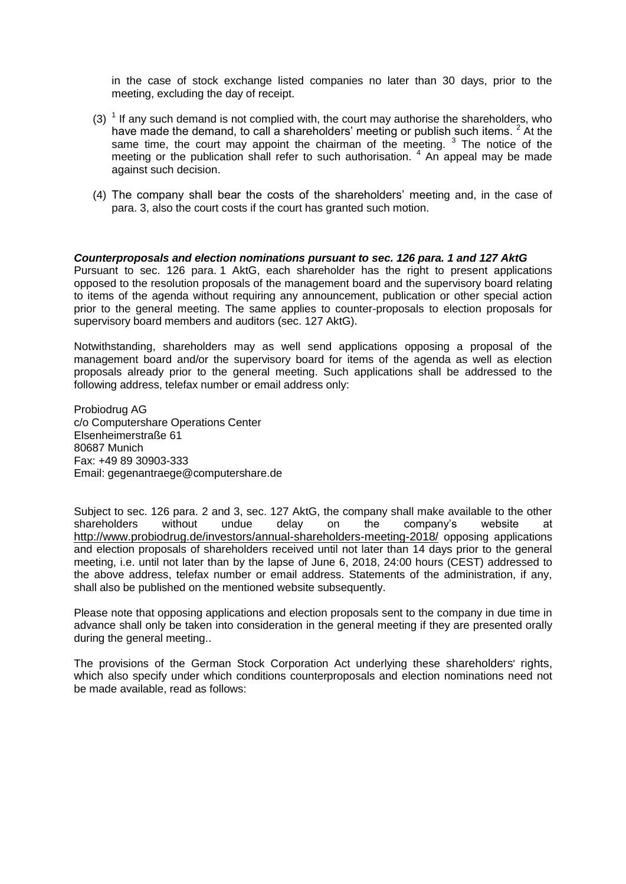in the case of stock exchange listed companies no later than 30 days, prior to the meeting, excluding the day of receipt.

- (3)  $<sup>1</sup>$  If any such demand is not complied with, the court may authorise the shareholders, who</sup> have made the demand, to call a shareholders' meeting or publish such items. <sup>2</sup> At the same time, the court may appoint the chairman of the meeting.  $3$  The notice of the meeting or the publication shall refer to such authorisation.  $4\overline{)}$  An appeal may be made against such decision.
- (4) The company shall bear the costs of the shareholders' meeting and, in the case of para. 3, also the court costs if the court has granted such motion.

#### *Counterproposals and election nominations pursuant to sec. 126 para. 1 and 127 AktG*

Pursuant to sec. 126 para. 1 AktG, each shareholder has the right to present applications opposed to the resolution proposals of the management board and the supervisory board relating to items of the agenda without requiring any announcement, publication or other special action prior to the general meeting. The same applies to counter-proposals to election proposals for supervisory board members and auditors (sec. 127 AktG).

Notwithstanding, shareholders may as well send applications opposing a proposal of the management board and/or the supervisory board for items of the agenda as well as election proposals already prior to the general meeting. Such applications shall be addressed to the following address, telefax number or email address only:

Probiodrug AG c/o Computershare Operations Center Elsenheimerstraße 61 80687 Munich Fax: +49 89 30903-333 Email: gegenantraege@computershare.de

Subject to sec. 126 para. 2 and 3, sec. 127 AktG, the company shall make available to the other shareholders without undue delay on the company's website at http://www.probiodrug.de/investors/annual-shareholders-meeting-2018/ opposing applications and election proposals of shareholders received until not later than 14 days prior to the general meeting, i.e. until not later than by the lapse of June 6, 2018, 24:00 hours (CEST) addressed to the above address, telefax number or email address. Statements of the administration, if any, shall also be published on the mentioned website subsequently.

Please note that opposing applications and election proposals sent to the company in due time in advance shall only be taken into consideration in the general meeting if they are presented orally during the general meeting..

The provisions of the German Stock Corporation Act underlying these shareholders' rights, which also specify under which conditions counterproposals and election nominations need not be made available, read as follows: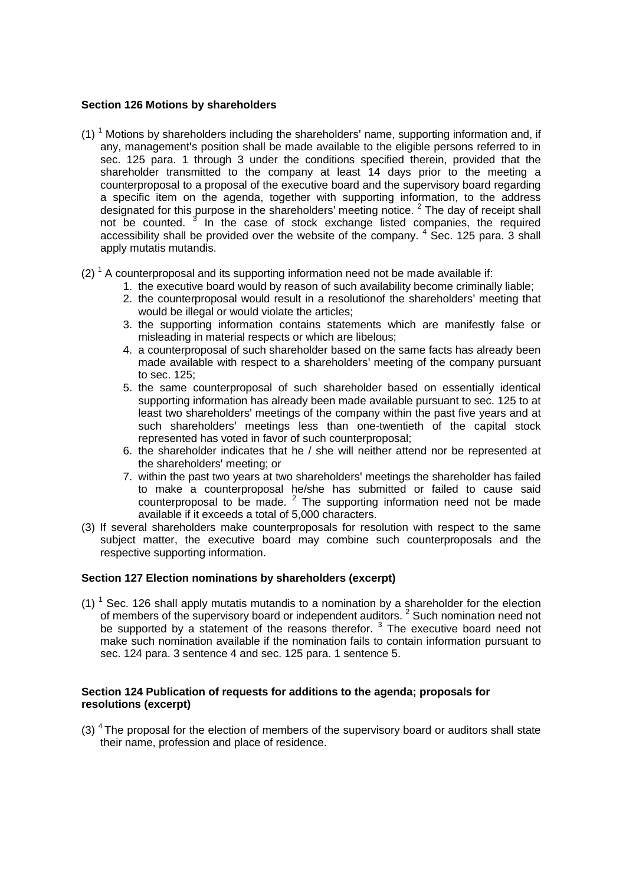## **Section 126 Motions by shareholders**

- (1)  $<sup>1</sup>$  Motions by shareholders including the shareholders' name, supporting information and, if</sup> any, management's position shall be made available to the eligible persons referred to in sec. 125 para. 1 through 3 under the conditions specified therein, provided that the shareholder transmitted to the company at least 14 days prior to the meeting a counterproposal to a proposal of the executive board and the supervisory board regarding a specific item on the agenda, together with supporting information, to the address designated for this purpose in the shareholders' meeting notice. <sup>2</sup> The day of receipt shall not be counted.<sup>3</sup> In the case of stock exchange listed companies, the required accessibility shall be provided over the website of the company.  $4$  Sec. 125 para. 3 shall apply mutatis mutandis.
- $(2)$ <sup>1</sup> A counterproposal and its supporting information need not be made available if:
	- 1. the executive board would by reason of such availability become criminally liable;
		- 2. the counterproposal would result in a resolutionof the shareholders' meeting that would be illegal or would violate the articles;
		- 3. the supporting information contains statements which are manifestly false or misleading in material respects or which are libelous;
		- 4. a counterproposal of such shareholder based on the same facts has already been made available with respect to a shareholders' meeting of the company pursuant to sec. 125;
		- 5. the same counterproposal of such shareholder based on essentially identical supporting information has already been made available pursuant to sec. 125 to at least two shareholders' meetings of the company within the past five years and at such shareholders' meetings less than one-twentieth of the capital stock represented has voted in favor of such counterproposal;
		- 6. the shareholder indicates that he / she will neither attend nor be represented at the shareholders' meeting; or
		- 7. within the past two years at two shareholders' meetings the shareholder has failed to make a counterproposal he/she has submitted or failed to cause said counterproposal to be made.  $2$  The supporting information need not be made available if it exceeds a total of 5,000 characters.
- (3) If several shareholders make counterproposals for resolution with respect to the same subject matter, the executive board may combine such counterproposals and the respective supporting information.

## **Section 127 Election nominations by shareholders (excerpt)**

(1)  $<sup>1</sup>$  Sec. 126 shall apply mutatis mutandis to a nomination by a shareholder for the election</sup> of members of the supervisory board or independent auditors.<sup>2</sup> Such nomination need not be supported by a statement of the reasons therefor.  $3$  The executive board need not make such nomination available if the nomination fails to contain information pursuant to sec. 124 para. 3 sentence 4 and sec. 125 para. 1 sentence 5.

## **Section 124 Publication of requests for additions to the agenda; proposals for resolutions (excerpt)**

(3)  $4$  The proposal for the election of members of the supervisory board or auditors shall state their name, profession and place of residence.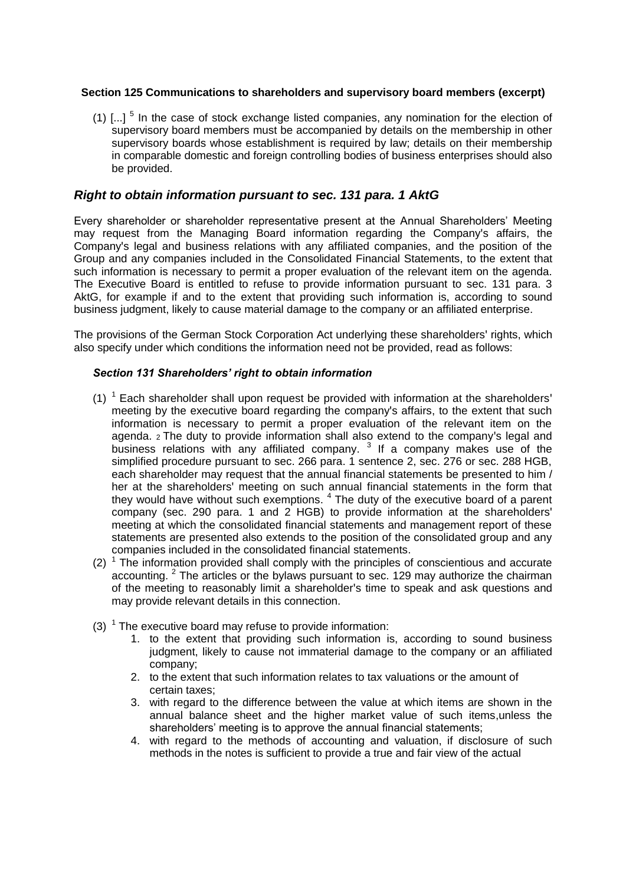## **Section 125 Communications to shareholders and supervisory board members (excerpt)**

(1)  $\left[...\right]$ <sup>5</sup> In the case of stock exchange listed companies, any nomination for the election of supervisory board members must be accompanied by details on the membership in other supervisory boards whose establishment is required by law; details on their membership in comparable domestic and foreign controlling bodies of business enterprises should also be provided.

# *Right to obtain information pursuant to sec. 131 para. 1 AktG*

Every shareholder or shareholder representative present at the Annual Shareholders' Meeting may request from the Managing Board information regarding the Company's affairs, the Company's legal and business relations with any affiliated companies, and the position of the Group and any companies included in the Consolidated Financial Statements, to the extent that such information is necessary to permit a proper evaluation of the relevant item on the agenda. The Executive Board is entitled to refuse to provide information pursuant to sec. 131 para. 3 AktG, for example if and to the extent that providing such information is, according to sound business judgment, likely to cause material damage to the company or an affiliated enterprise.

The provisions of the German Stock Corporation Act underlying these shareholders' rights, which also specify under which conditions the information need not be provided, read as follows:

## *Section 131 Shareholders' right to obtain information*

- $(1)$ <sup>1</sup> Each shareholder shall upon request be provided with information at the shareholders' meeting by the executive board regarding the company's affairs, to the extent that such information is necessary to permit a proper evaluation of the relevant item on the agenda. 2 The duty to provide information shall also extend to the company's legal and business relations with any affiliated company.  $3$  If a company makes use of the simplified procedure pursuant to sec. 266 para. 1 sentence 2, sec. 276 or sec. 288 HGB, each shareholder may request that the annual financial statements be presented to him / her at the shareholders' meeting on such annual financial statements in the form that they would have without such exemptions.  $4$  The duty of the executive board of a parent company (sec. 290 para. 1 and 2 HGB) to provide information at the shareholders' meeting at which the consolidated financial statements and management report of these statements are presented also extends to the position of the consolidated group and any companies included in the consolidated financial statements.
- $(2)$ <sup>1</sup> The information provided shall comply with the principles of conscientious and accurate accounting.  $2$  The articles or the bylaws pursuant to sec. 129 may authorize the chairman of the meeting to reasonably limit a shareholder's time to speak and ask questions and may provide relevant details in this connection.
- (3)  $1$  The executive board may refuse to provide information:
	- 1. to the extent that providing such information is, according to sound business judgment, likely to cause not immaterial damage to the company or an affiliated company;
	- 2. to the extent that such information relates to tax valuations or the amount of certain taxes;
	- 3. with regard to the difference between the value at which items are shown in the annual balance sheet and the higher market value of such items,unless the shareholders' meeting is to approve the annual financial statements;
	- 4. with regard to the methods of accounting and valuation, if disclosure of such methods in the notes is sufficient to provide a true and fair view of the actual